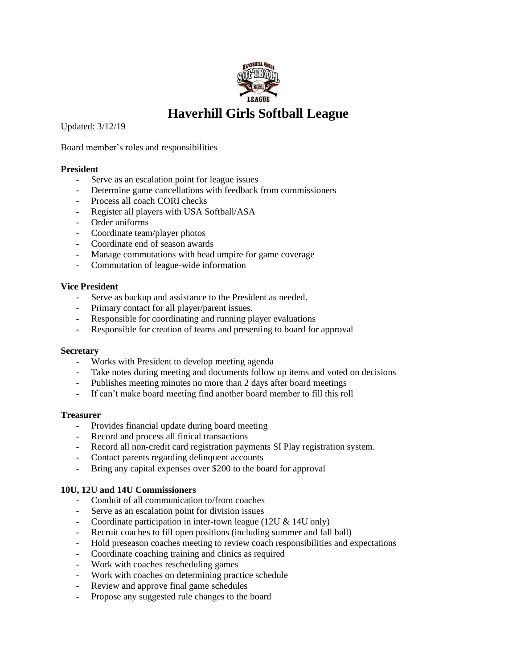

Updated: 3/12/19

Board member's roles and responsibilities

## **President**

- Serve as an escalation point for league issues
- Determine game cancellations with feedback from commissioners
- Process all coach CORI checks
- Register all players with USA Softball/ASA
- Order uniforms
- Coordinate team/player photos
- Coordinate end of season awards
- Manage commutations with head umpire for game coverage
- Commutation of league-wide information

## **Vice President**

- Serve as backup and assistance to the President as needed.
- Primary contact for all player/parent issues.
- Responsible for coordinating and running player evaluations
- Responsible for creation of teams and presenting to board for approval

## **Secretary**

- Works with President to develop meeting agenda
- Take notes during meeting and documents follow up items and voted on decisions
- Publishes meeting minutes no more than 2 days after board meetings
- If can't make board meeting find another board member to fill this roll

## **Treasurer**

- Provides financial update during board meeting
- Record and process all finical transactions
- Record all non-credit card registration payments SI Play registration system.
- Contact parents regarding delinquent accounts
- Bring any capital expenses over \$200 to the board for approval

## **10U, 12U and 14U Commissioners**

- Conduit of all communication to/from coaches
- Serve as an escalation point for division issues
- Coordinate participation in inter-town league (12U  $& 14$ U only)
- Recruit coaches to fill open positions (including summer and fall ball)
- Hold preseason coaches meeting to review coach responsibilities and expectations
- Coordinate coaching training and clinics as required
- Work with coaches rescheduling games
- Work with coaches on determining practice schedule
- Review and approve final game schedules
- Propose any suggested rule changes to the board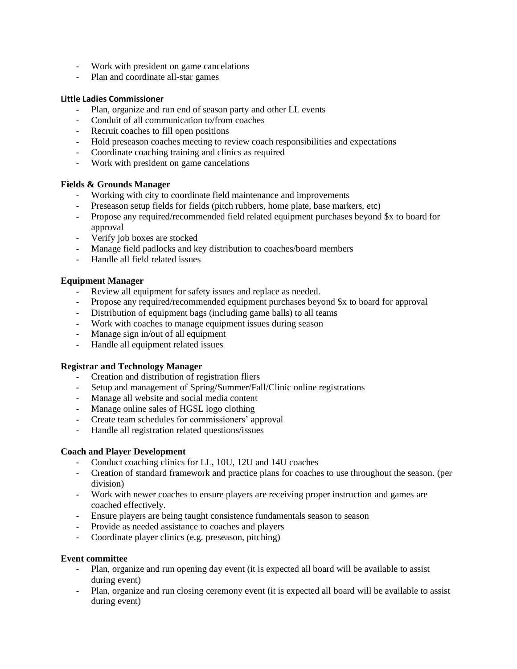- Work with president on game cancelations
- Plan and coordinate all-star games

#### **Little Ladies Commissioner**

- Plan, organize and run end of season party and other LL events
- Conduit of all communication to/from coaches
- Recruit coaches to fill open positions
- Hold preseason coaches meeting to review coach responsibilities and expectations
- Coordinate coaching training and clinics as required
- Work with president on game cancelations

#### **Fields & Grounds Manager**

- Working with city to coordinate field maintenance and improvements
- Preseason setup fields for fields (pitch rubbers, home plate, base markers, etc)
- Propose any required/recommended field related equipment purchases beyond \$x to board for approval
- Verify job boxes are stocked
- Manage field padlocks and key distribution to coaches/board members
- Handle all field related issues

#### **Equipment Manager**

- Review all equipment for safety issues and replace as needed.
- Propose any required/recommended equipment purchases beyond \$x to board for approval
- Distribution of equipment bags (including game balls) to all teams
- Work with coaches to manage equipment issues during season
- Manage sign in/out of all equipment
- Handle all equipment related issues

### **Registrar and Technology Manager**

- Creation and distribution of registration fliers
- Setup and management of Spring/Summer/Fall/Clinic online registrations
- Manage all website and social media content
- Manage online sales of HGSL logo clothing
- Create team schedules for commissioners' approval
- Handle all registration related questions/issues

#### **Coach and Player Development**

- Conduct coaching clinics for LL, 10U, 12U and 14U coaches
- Creation of standard framework and practice plans for coaches to use throughout the season. (per division)
- Work with newer coaches to ensure players are receiving proper instruction and games are coached effectively.
- Ensure players are being taught consistence fundamentals season to season
- Provide as needed assistance to coaches and players
- Coordinate player clinics (e.g. preseason, pitching)

#### **Event committee**

- Plan, organize and run opening day event (it is expected all board will be available to assist during event)
- Plan, organize and run closing ceremony event (it is expected all board will be available to assist during event)